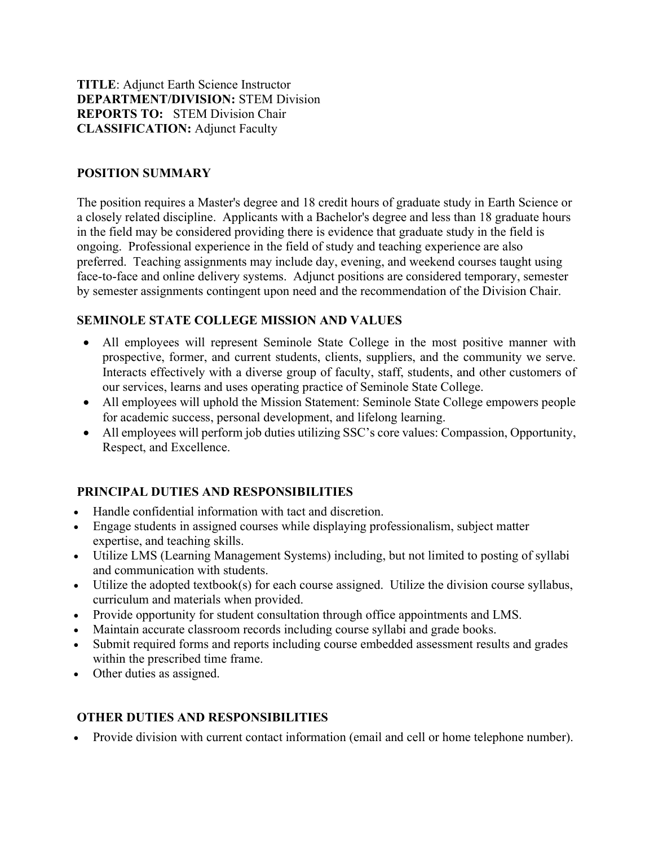TITLE: Adjunct Earth Science Instructor DEPARTMENT/DIVISION: STEM Division REPORTS TO: STEM Division Chair CLASSIFICATION: Adjunct Faculty

### POSITION SUMMARY

The position requires a Master's degree and 18 credit hours of graduate study in Earth Science or a closely related discipline. Applicants with a Bachelor's degree and less than 18 graduate hours in the field may be considered providing there is evidence that graduate study in the field is ongoing. Professional experience in the field of study and teaching experience are also preferred. Teaching assignments may include day, evening, and weekend courses taught using face-to-face and online delivery systems. Adjunct positions are considered temporary, semester by semester assignments contingent upon need and the recommendation of the Division Chair.

### SEMINOLE STATE COLLEGE MISSION AND VALUES

- All employees will represent Seminole State College in the most positive manner with prospective, former, and current students, clients, suppliers, and the community we serve. Interacts effectively with a diverse group of faculty, staff, students, and other customers of our services, learns and uses operating practice of Seminole State College.
- All employees will uphold the Mission Statement: Seminole State College empowers people for academic success, personal development, and lifelong learning.
- All employees will perform job duties utilizing SSC's core values: Compassion, Opportunity, Respect, and Excellence.

# PRINCIPAL DUTIES AND RESPONSIBILITIES

- Handle confidential information with tact and discretion.
- Engage students in assigned courses while displaying professionalism, subject matter expertise, and teaching skills.
- Utilize LMS (Learning Management Systems) including, but not limited to posting of syllabi and communication with students.
- Utilize the adopted textbook(s) for each course assigned. Utilize the division course syllabus, curriculum and materials when provided.
- Provide opportunity for student consultation through office appointments and LMS.
- Maintain accurate classroom records including course syllabi and grade books.
- Submit required forms and reports including course embedded assessment results and grades within the prescribed time frame.
- Other duties as assigned.

# OTHER DUTIES AND RESPONSIBILITIES

Provide division with current contact information (email and cell or home telephone number).